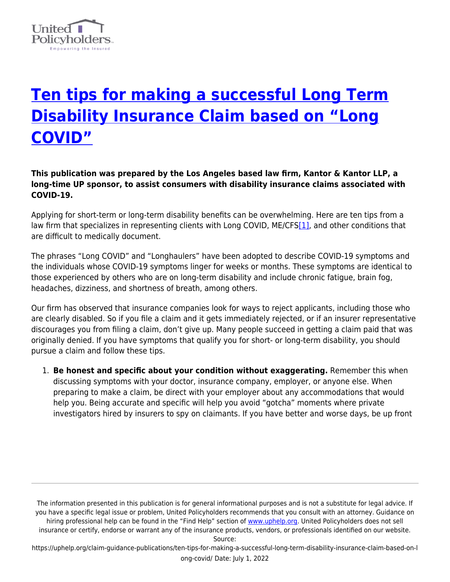

## **[Ten tips for making a successful Long Term](https://uphelp.org/claim-guidance-publications/ten-tips-for-making-a-successful-long-term-disability-insurance-claim-based-on-long-covid/) [Disability Insurance Claim based on "Long](https://uphelp.org/claim-guidance-publications/ten-tips-for-making-a-successful-long-term-disability-insurance-claim-based-on-long-covid/) [COVID"](https://uphelp.org/claim-guidance-publications/ten-tips-for-making-a-successful-long-term-disability-insurance-claim-based-on-long-covid/)**

**This publication was prepared by the Los Angeles based law firm, Kantor & Kantor LLP, a long-time UP sponsor, to assist consumers with disability insurance claims associated with COVID-19.**

<span id="page-0-0"></span>Applying for short-term or long-term disability benefits can be overwhelming. Here are ten tips from a law firm that specializes in representing clients with Long COVID, ME/CFS[\[1\],](#page-2-0) and other conditions that are difficult to medically document.

The phrases "Long COVID" and "Longhaulers" have been adopted to describe COVID-19 symptoms and the individuals whose COVID-19 symptoms linger for weeks or months. These symptoms are identical to those experienced by others who are on long-term disability and include chronic fatigue, brain fog, headaches, dizziness, and shortness of breath, among others.

Our firm has observed that insurance companies look for ways to reject applicants, including those who are clearly disabled. So if you file a claim and it gets immediately rejected, or if an insurer representative discourages you from filing a claim, don't give up. Many people succeed in getting a claim paid that was originally denied. If you have symptoms that qualify you for short- or long-term disability, you should pursue a claim and follow these tips.

1. **Be honest and specific about your condition without exaggerating.** Remember this when discussing symptoms with your doctor, insurance company, employer, or anyone else. When preparing to make a claim, be direct with your employer about any accommodations that would help you. Being accurate and specific will help you avoid "gotcha" moments where private investigators hired by insurers to spy on claimants. If you have better and worse days, be up front

The information presented in this publication is for general informational purposes and is not a substitute for legal advice. If you have a specific legal issue or problem, United Policyholders recommends that you consult with an attorney. Guidance on hiring professional help can be found in the "Find Help" section of [www.uphelp.org.](http://www.uphelp.org/) United Policyholders does not sell insurance or certify, endorse or warrant any of the insurance products, vendors, or professionals identified on our website.

Source:

https://uphelp.org/claim-guidance-publications/ten-tips-for-making-a-successful-long-term-disability-insurance-claim-based-on-l ong-covid/ Date: July 1, 2022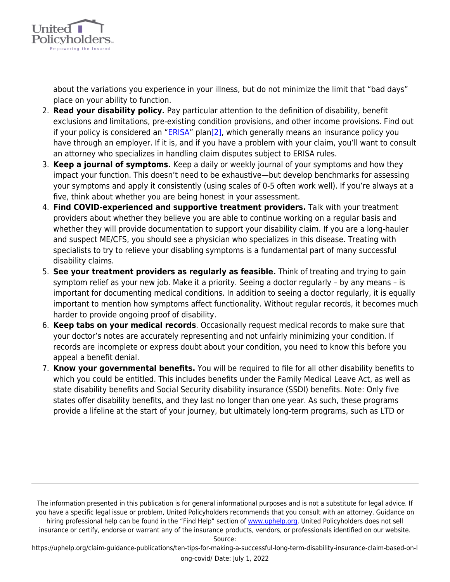

about the variations you experience in your illness, but do not minimize the limit that "bad days" place on your ability to function.

- <span id="page-1-0"></span>2. **Read your disability policy.** Pay particular attention to the definition of disability, benefit exclusions and limitations, pre-existing condition provisions, and other income provisions. Find out if your policy is considered an " $ERISA$ " plan $[2]$ , which generally means an insurance policy you have through an employer. If it is, and if you have a problem with your claim, you'll want to consult an attorney who specializes in handling claim disputes subject to ERISA rules.
- 3. **Keep a journal of symptoms.** Keep a daily or weekly journal of your symptoms and how they impact your function. This doesn't need to be exhaustive—but develop benchmarks for assessing your symptoms and apply it consistently (using scales of 0-5 often work well). If you're always at a five, think about whether you are being honest in your assessment.
- 4. **Find COVID-experienced and supportive treatment providers.** Talk with your treatment providers about whether they believe you are able to continue working on a regular basis and whether they will provide documentation to support your disability claim. If you are a long-hauler and suspect ME/CFS, you should see a physician who specializes in this disease. Treating with specialists to try to relieve your disabling symptoms is a fundamental part of many successful disability claims.
- 5. **See your treatment providers as regularly as feasible.** Think of treating and trying to gain symptom relief as your new job. Make it a priority. Seeing a doctor regularly – by any means – is important for documenting medical conditions. In addition to seeing a doctor regularly, it is equally important to mention how symptoms affect functionality. Without regular records, it becomes much harder to provide ongoing proof of disability.
- 6. **Keep tabs on your medical records**. Occasionally request medical records to make sure that your doctor's notes are accurately representing and not unfairly minimizing your condition. If records are incomplete or express doubt about your condition, you need to know this before you appeal a benefit denial.
- 7. **Know your governmental benefits.** You will be required to file for all other disability benefits to which you could be entitled. This includes benefits under the Family Medical Leave Act, as well as state disability benefits and Social Security disability insurance (SSDI) benefits. Note: Only five states offer disability benefits, and they last no longer than one year. As such, these programs provide a lifeline at the start of your journey, but ultimately long-term programs, such as LTD or

The information presented in this publication is for general informational purposes and is not a substitute for legal advice. If you have a specific legal issue or problem, United Policyholders recommends that you consult with an attorney. Guidance on hiring professional help can be found in the "Find Help" section of [www.uphelp.org.](http://www.uphelp.org/) United Policyholders does not sell insurance or certify, endorse or warrant any of the insurance products, vendors, or professionals identified on our website.

Source:

https://uphelp.org/claim-guidance-publications/ten-tips-for-making-a-successful-long-term-disability-insurance-claim-based-on-l ong-covid/ Date: July 1, 2022